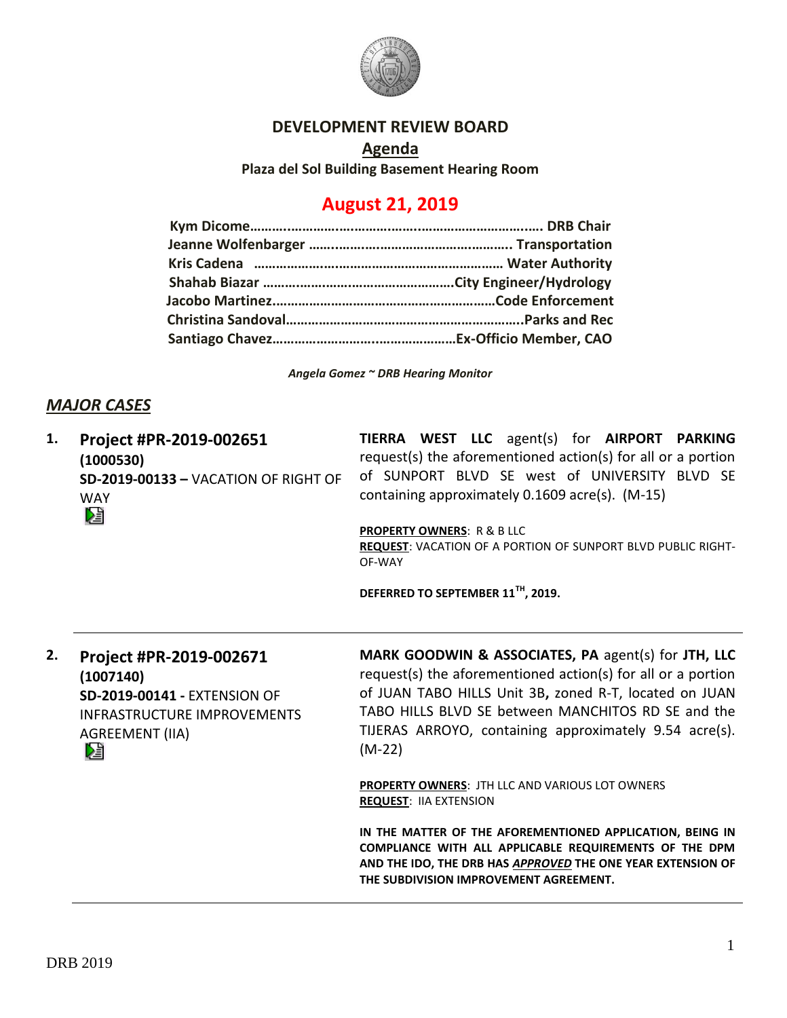

#### **DEVELOPMENT REVIEW BOARD**

**Agenda Plaza del Sol Building Basement Hearing Room**

# **August 21, 2019**

*Angela Gomez ~ DRB Hearing Monitor*

### *MAJOR CASES*

| 1. | Project #PR-2019-002651<br>(1000530)<br>SD-2019-00133 - VACATION OF RIGHT OF<br><b>WAY</b><br>妇                                            | TIERRA WEST LLC agent(s) for AIRPORT PARKING<br>request(s) the aforementioned action(s) for all or a portion<br>of SUNPORT BLVD SE west of UNIVERSITY BLVD SE<br>containing approximately 0.1609 acre(s). (M-15)<br><b>PROPERTY OWNERS: R &amp; B LLC</b><br>REQUEST: VACATION OF A PORTION OF SUNPORT BLVD PUBLIC RIGHT-<br>OF-WAY |
|----|--------------------------------------------------------------------------------------------------------------------------------------------|-------------------------------------------------------------------------------------------------------------------------------------------------------------------------------------------------------------------------------------------------------------------------------------------------------------------------------------|
|    |                                                                                                                                            | DEFERRED TO SEPTEMBER 11 <sup>TH</sup> , 2019.                                                                                                                                                                                                                                                                                      |
| 2. | Project #PR-2019-002671<br>(1007140)<br><b>SD-2019-00141 - EXTENSION OF</b><br>INFRASTRUCTURE IMPROVEMENTS<br><b>AGREEMENT (IIA)</b><br>Dà | MARK GOODWIN & ASSOCIATES, PA agent(s) for JTH, LLC<br>request(s) the aforementioned action(s) for all or a portion<br>of JUAN TABO HILLS Unit 3B, zoned R-T, located on JUAN<br>TABO HILLS BLVD SE between MANCHITOS RD SE and the<br>TIJERAS ARROYO, containing approximately 9.54 acre(s).<br>$(M-22)$                           |
|    |                                                                                                                                            | <b>PROPERTY OWNERS: JTH LLC AND VARIOUS LOT OWNERS</b><br><b>REQUEST: IIA EXTENSION</b>                                                                                                                                                                                                                                             |
|    |                                                                                                                                            | IN THE MATTER OF THE AFOREMENTIONED APPLICATION. BEING IN                                                                                                                                                                                                                                                                           |

**IN THE MATTER OF THE AFOREMENTIONED APPLICATION, BEING IN COMPLIANCE WITH ALL APPLICABLE REQUIREMENTS OF THE DPM AND THE IDO, THE DRB HAS** *APPROVED* **THE ONE YEAR EXTENSION OF THE SUBDIVISION IMPROVEMENT AGREEMENT.**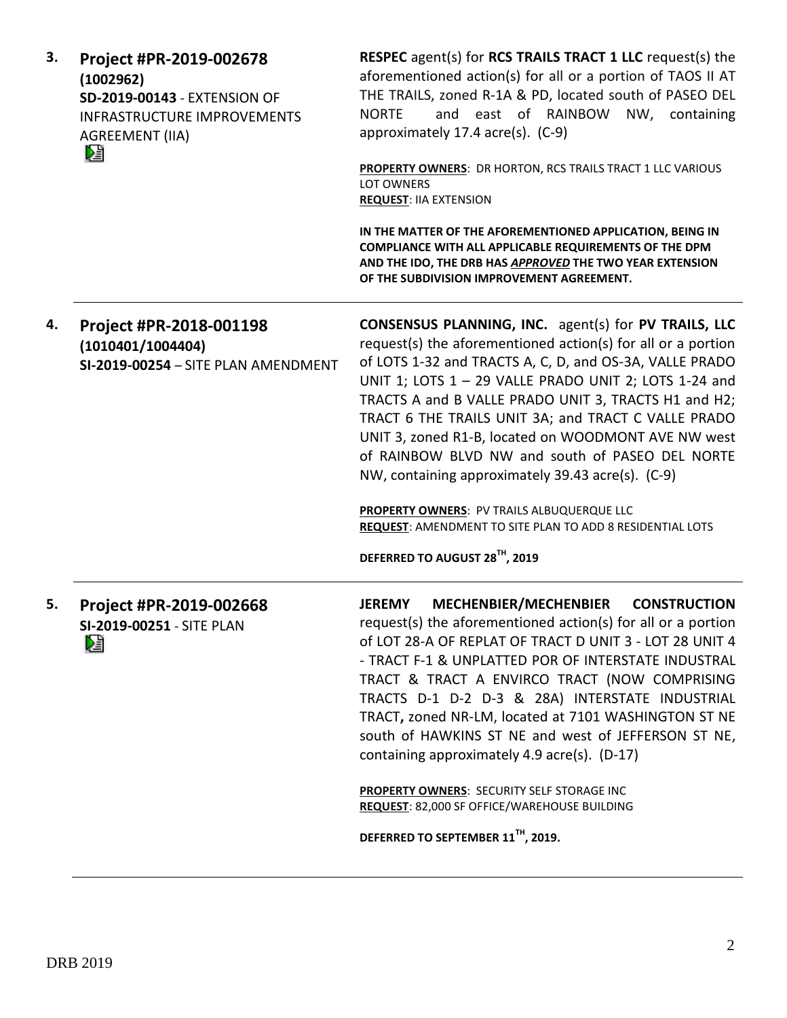| 3. | Project #PR-2019-002678<br>(1002962)<br><b>SD-2019-00143 - EXTENSION OF</b><br><b>INFRASTRUCTURE IMPROVEMENTS</b><br><b>AGREEMENT (IIA)</b><br>Ŋ | <b>RESPEC</b> agent(s) for <b>RCS TRAILS TRACT 1 LLC</b> request(s) the<br>aforementioned action(s) for all or a portion of TAOS II AT<br>THE TRAILS, zoned R-1A & PD, located south of PASEO DEL<br>and east of RAINBOW NW,<br>containing<br><b>NORTE</b><br>approximately 17.4 acre(s). (C-9)<br><b>PROPERTY OWNERS: DR HORTON, RCS TRAILS TRACT 1 LLC VARIOUS</b><br>LOT OWNERS<br><b>REQUEST: IIA EXTENSION</b><br>IN THE MATTER OF THE AFOREMENTIONED APPLICATION, BEING IN                                                                                                                                                                                          |
|----|--------------------------------------------------------------------------------------------------------------------------------------------------|---------------------------------------------------------------------------------------------------------------------------------------------------------------------------------------------------------------------------------------------------------------------------------------------------------------------------------------------------------------------------------------------------------------------------------------------------------------------------------------------------------------------------------------------------------------------------------------------------------------------------------------------------------------------------|
|    |                                                                                                                                                  | COMPLIANCE WITH ALL APPLICABLE REQUIREMENTS OF THE DPM<br>AND THE IDO, THE DRB HAS APPROVED THE TWO YEAR EXTENSION<br>OF THE SUBDIVISION IMPROVEMENT AGREEMENT.                                                                                                                                                                                                                                                                                                                                                                                                                                                                                                           |
| 4. | Project #PR-2018-001198<br>(1010401/1004404)<br>SI-2019-00254 - SITE PLAN AMENDMENT                                                              | <b>CONSENSUS PLANNING, INC.</b> agent(s) for PV TRAILS, LLC<br>request(s) the aforementioned action(s) for all or a portion<br>of LOTS 1-32 and TRACTS A, C, D, and OS-3A, VALLE PRADO<br>UNIT 1; LOTS 1 - 29 VALLE PRADO UNIT 2; LOTS 1-24 and<br>TRACTS A and B VALLE PRADO UNIT 3, TRACTS H1 and H2;<br>TRACT 6 THE TRAILS UNIT 3A; and TRACT C VALLE PRADO<br>UNIT 3, zoned R1-B, located on WOODMONT AVE NW west<br>of RAINBOW BLVD NW and south of PASEO DEL NORTE<br>NW, containing approximately 39.43 acre(s). (C-9)<br>PROPERTY OWNERS: PV TRAILS ALBUQUERQUE LLC<br>REQUEST: AMENDMENT TO SITE PLAN TO ADD 8 RESIDENTIAL LOTS<br>DEFERRED TO AUGUST 28TH, 2019 |
| 5. | Project #PR-2019-002668<br>SI-2019-00251 - SITE PLAN<br>N                                                                                        | MECHENBIER/MECHENBIER<br><b>JEREMY</b><br><b>CONSTRUCTION</b><br>request(s) the aforementioned action(s) for all or a portion<br>of LOT 28-A OF REPLAT OF TRACT D UNIT 3 - LOT 28 UNIT 4<br>- TRACT F-1 & UNPLATTED POR OF INTERSTATE INDUSTRAL<br>TRACT & TRACT A ENVIRCO TRACT (NOW COMPRISING<br>TRACTS D-1 D-2 D-3 & 28A) INTERSTATE INDUSTRIAL<br>TRACT, zoned NR-LM, located at 7101 WASHINGTON ST NE<br>south of HAWKINS ST NE and west of JEFFERSON ST NE,<br>containing approximately 4.9 acre(s). (D-17)                                                                                                                                                        |
|    |                                                                                                                                                  | PROPERTY OWNERS: SECURITY SELF STORAGE INC<br>REQUEST: 82,000 SF OFFICE/WAREHOUSE BUILDING                                                                                                                                                                                                                                                                                                                                                                                                                                                                                                                                                                                |
|    |                                                                                                                                                  | DEFERRED TO SEPTEMBER 11 <sup>TH</sup> , 2019.                                                                                                                                                                                                                                                                                                                                                                                                                                                                                                                                                                                                                            |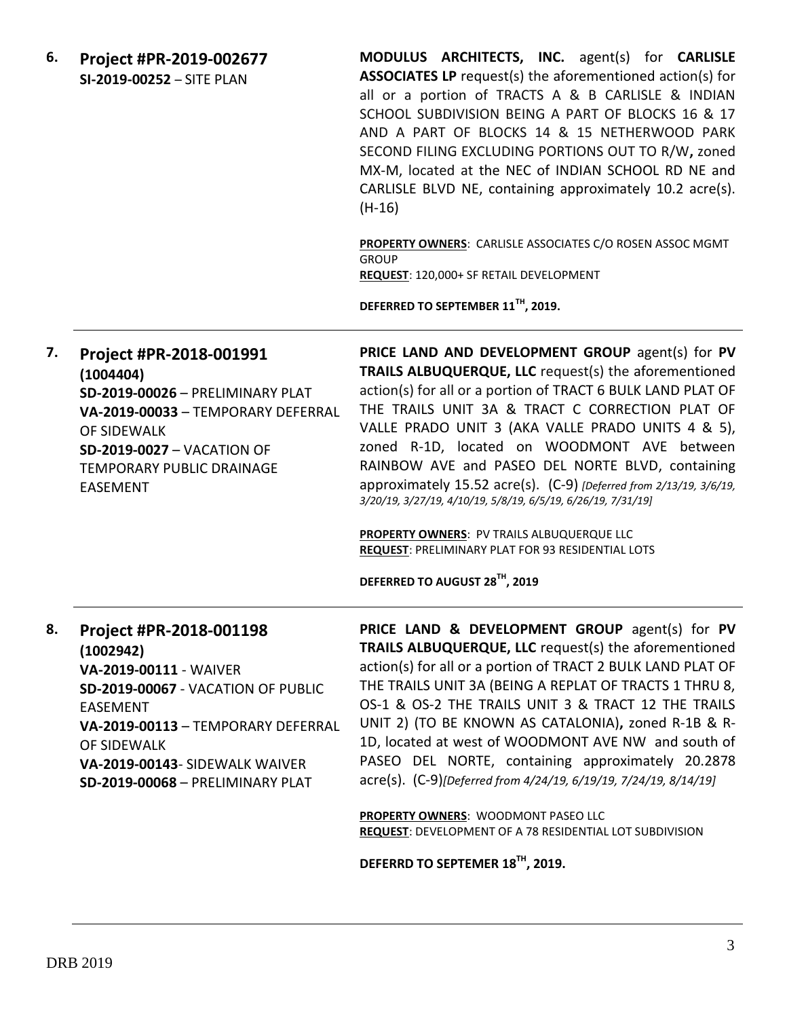**6. Project #PR-2019-002677 SI-2019-00252** – SITE PLAN

**MODULUS ARCHITECTS, INC.** agent(s) for **CARLISLE ASSOCIATES LP** request(s) the aforementioned action(s) for all or a portion of TRACTS A & B CARLISLE & INDIAN SCHOOL SUBDIVISION BEING A PART OF BLOCKS 16 & 17 AND A PART OF BLOCKS 14 & 15 NETHERWOOD PARK SECOND FILING EXCLUDING PORTIONS OUT TO R/W**,** zoned MX-M, located at the NEC of INDIAN SCHOOL RD NE and CARLISLE BLVD NE, containing approximately 10.2 acre(s). (H-16)

**PROPERTY OWNERS**: CARLISLE ASSOCIATES C/O ROSEN ASSOC MGMT **GROUP REQUEST**: 120,000+ SF RETAIL DEVELOPMENT

**DEFERRED TO SEPTEMBER 11TH, 2019.**

**7. Project #PR-2018-001991 (1004404) SD-2019-00026** – PRELIMINARY PLAT **VA-2019-00033** – TEMPORARY DEFERRAL OF SIDEWALK **SD-2019-0027** – VACATION OF TEMPORARY PUBLIC DRAINAGE EASEMENT **PRICE LAND AND DEVELOPMENT GROUP** agent(s) for **PV TRAILS ALBUQUERQUE, LLC** request(s) the aforementioned action(s) for all or a portion of TRACT 6 BULK LAND PLAT OF THE TRAILS UNIT 3A & TRACT C CORRECTION PLAT OF VALLE PRADO UNIT 3 (AKA VALLE PRADO UNITS 4 & 5), zoned R-1D, located on WOODMONT AVE between RAINBOW AVE and PASEO DEL NORTE BLVD, containing approximately 15.52 acre(s). (C-9) *[Deferred from 2/13/19, 3/6/19, 3/20/19, 3/27/19, 4/10/19, 5/8/19, 6/5/19, 6/26/19, 7/31/19]*

> **PROPERTY OWNERS**: PV TRAILS ALBUQUERQUE LLC **REQUEST**: PRELIMINARY PLAT FOR 93 RESIDENTIAL LOTS

**DEFERRED TO AUGUST 28TH, 2019**

## **8. Project #PR-2018-001198 (1002942) VA-2019-00111** - WAIVER **SD-2019-00067** - VACATION OF PUBLIC EASEMENT **VA-2019-00113** – TEMPORARY DEFERRAL OF SIDEWALK **VA-2019-00143**- SIDEWALK WAIVER **SD-2019-00068** – PRELIMINARY PLAT

**PRICE LAND & DEVELOPMENT GROUP** agent(s) for **PV TRAILS ALBUQUERQUE, LLC** request(s) the aforementioned action(s) for all or a portion of TRACT 2 BULK LAND PLAT OF THE TRAILS UNIT 3A (BEING A REPLAT OF TRACTS 1 THRU 8, OS-1 & OS-2 THE TRAILS UNIT 3 & TRACT 12 THE TRAILS UNIT 2) (TO BE KNOWN AS CATALONIA)**,** zoned R-1B & R-1D, located at west of WOODMONT AVE NW and south of PASEO DEL NORTE, containing approximately 20.2878 acre(s). (C-9)*[Deferred from 4/24/19, 6/19/19, 7/24/19, 8/14/19]*

**PROPERTY OWNERS**: WOODMONT PASEO LLC **REQUEST**: DEVELOPMENT OF A 78 RESIDENTIAL LOT SUBDIVISION

**DEFERRD TO SEPTEMER 18TH, 2019.**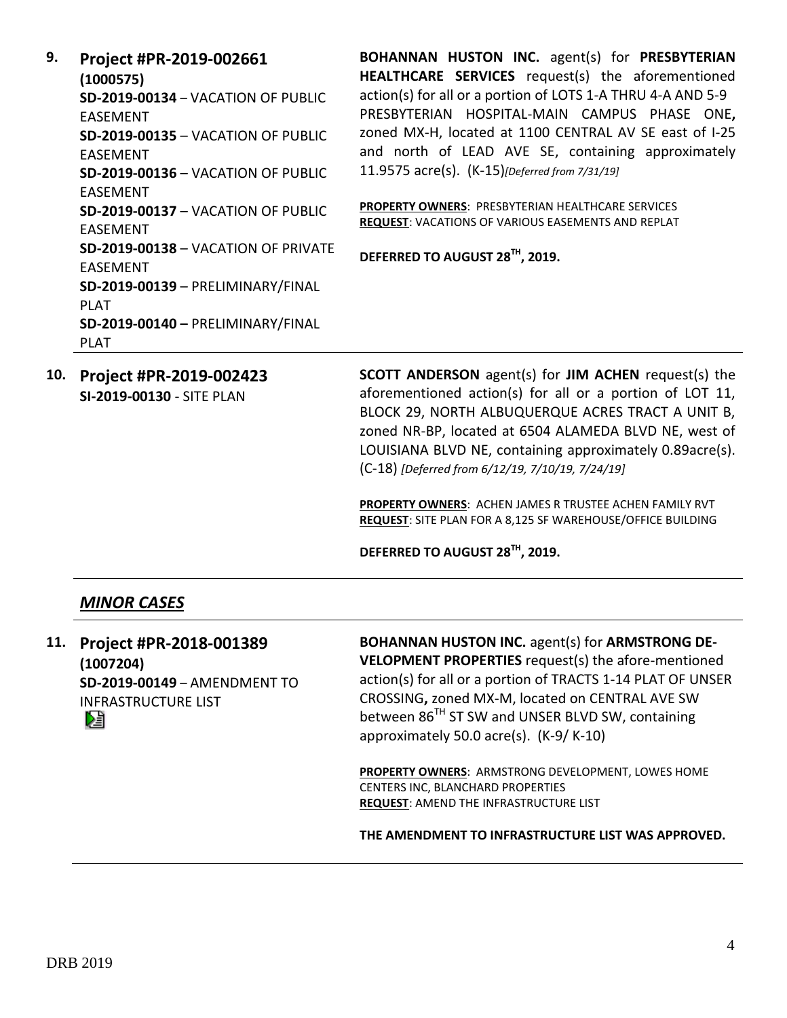**9. Project #PR-2019-002661 (1000575) SD-2019-00134** – VACATION OF PUBLIC EASEMENT **SD-2019-00135** – VACATION OF PUBLIC EASEMENT **SD-2019-00136** – VACATION OF PUBLIC EASEMENT **SD-2019-00137** – VACATION OF PUBLIC EASEMENT **SD-2019-00138** – VACATION OF PRIVATE EASEMENT **SD-2019-00139** – PRELIMINARY/FINAL PLAT **SD-2019-00140 –** PRELIMINARY/FINAL PLAT

**BOHANNAN HUSTON INC.** agent(s) for **PRESBYTERIAN HEALTHCARE SERVICES** request(s) the aforementioned action(s) for all or a portion of LOTS 1-A THRU 4-A AND 5-9 PRESBYTERIAN HOSPITAL-MAIN CAMPUS PHASE ONE**,**  zoned MX-H, located at 1100 CENTRAL AV SE east of I-25 and north of LEAD AVE SE, containing approximately 11.9575 acre(s). (K-15)*[Deferred from 7/31/19]*

**PROPERTY OWNERS**: PRESBYTERIAN HEALTHCARE SERVICES **REQUEST**: VACATIONS OF VARIOUS EASEMENTS AND REPLAT

**DEFERRED TO AUGUST 28TH, 2019.**

**10. Project #PR-2019-002423 SI-2019-00130** - SITE PLAN

**SCOTT ANDERSON** agent(s) for **JIM ACHEN** request(s) the aforementioned action(s) for all or a portion of LOT 11, BLOCK 29, NORTH ALBUQUERQUE ACRES TRACT A UNIT B, zoned NR-BP, located at 6504 ALAMEDA BLVD NE, west of LOUISIANA BLVD NE, containing approximately 0.89acre(s). (C-18) *[Deferred from 6/12/19, 7/10/19, 7/24/19]*

**PROPERTY OWNERS**: ACHEN JAMES R TRUSTEE ACHEN FAMILY RVT **REQUEST**: SITE PLAN FOR A 8,125 SF WAREHOUSE/OFFICE BUILDING

**DEFERRED TO AUGUST 28TH, 2019.**

#### *MINOR CASES*

**11. Project #PR-2018-001389 (1007204) SD-2019-00149** – AMENDMENT TO INFRASTRUCTURE LIST DË

**BOHANNAN HUSTON INC.** agent(s) for **ARMSTRONG DE-VELOPMENT PROPERTIES** request(s) the afore-mentioned action(s) for all or a portion of TRACTS 1-14 PLAT OF UNSER CROSSING**,** zoned MX-M, located on CENTRAL AVE SW between 86<sup>TH</sup> ST SW and UNSER BLVD SW, containing approximately 50.0 acre(s). (K-9/ K-10)

**PROPERTY OWNERS**: ARMSTRONG DEVELOPMENT, LOWES HOME CENTERS INC, BLANCHARD PROPERTIES **REQUEST**: AMEND THE INFRASTRUCTURE LIST

**THE AMENDMENT TO INFRASTRUCTURE LIST WAS APPROVED.**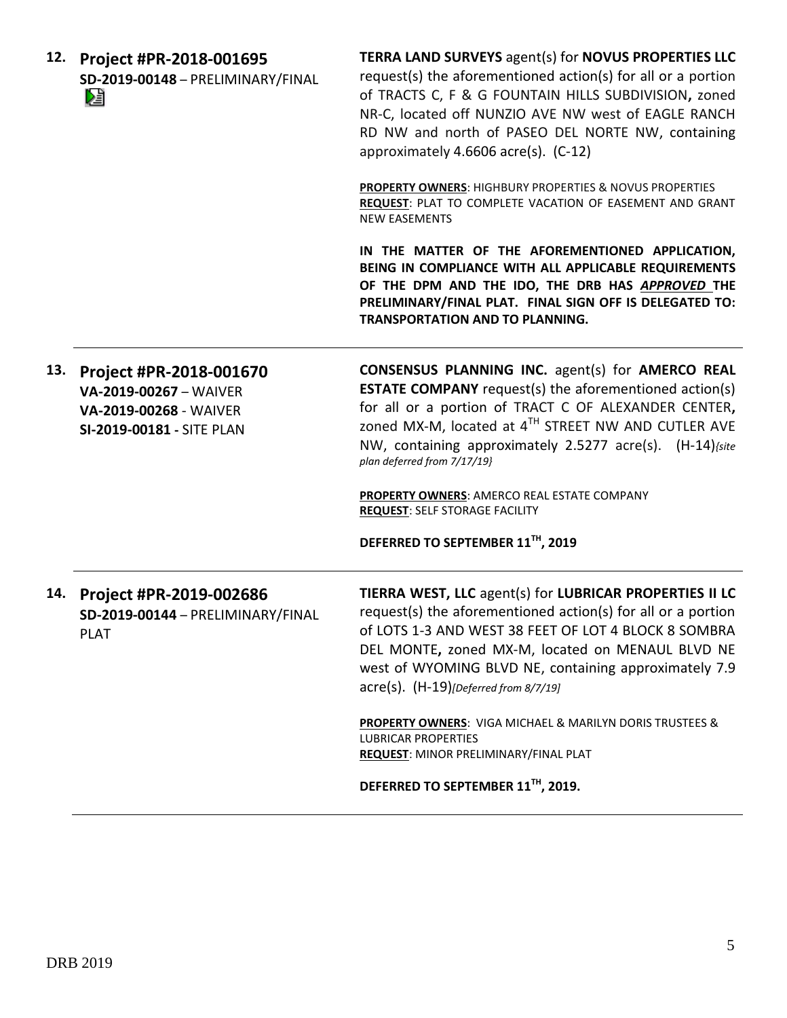|  | 12. Project #PR-2018-001695       |  |
|--|-----------------------------------|--|
|  | SD-2019-00148 - PRELIMINARY/FINAL |  |
|  | 熠                                 |  |

**TERRA LAND SURVEYS** agent(s) for **NOVUS PROPERTIES LLC** request(s) the aforementioned action(s) for all or a portion of TRACTS C, F & G FOUNTAIN HILLS SUBDIVISION**,** zoned NR-C, located off NUNZIO AVE NW west of EAGLE RANCH RD NW and north of PASEO DEL NORTE NW, containing approximately 4.6606 acre(s). (C-12)

**PROPERTY OWNERS**: HIGHBURY PROPERTIES & NOVUS PROPERTIES **REQUEST**: PLAT TO COMPLETE VACATION OF EASEMENT AND GRANT NEW EASEMENTS

**IN THE MATTER OF THE AFOREMENTIONED APPLICATION, BEING IN COMPLIANCE WITH ALL APPLICABLE REQUIREMENTS OF THE DPM AND THE IDO, THE DRB HAS** *APPROVED* **THE PRELIMINARY/FINAL PLAT. FINAL SIGN OFF IS DELEGATED TO: TRANSPORTATION AND TO PLANNING.** 

**13. Project #PR-2018-001670 VA-2019-00267** – WAIVER **VA-2019-00268** - WAIVER **SI-2019-00181 -** SITE PLAN **CONSENSUS PLANNING INC.** agent(s) for **AMERCO REAL ESTATE COMPANY** request(s) the aforementioned action(s) for all or a portion of TRACT C OF ALEXANDER CENTER**,**  zoned MX-M, located at 4 TH STREET NW AND CUTLER AVE NW, containing approximately 2.5277 acre(s). (H-14)*{site plan deferred from 7/17/19}*

> **PROPERTY OWNERS**: AMERCO REAL ESTATE COMPANY **REQUEST**: SELF STORAGE FACILITY

**DEFERRED TO SEPTEMBER 11TH, 2019**

| 14. | Project #PR-2019-002686<br>SD-2019-00144 - PRELIMINARY/FINAL<br><b>PLAT</b> | TIERRA WEST, LLC agent(s) for LUBRICAR PROPERTIES II LC<br>request(s) the aforementioned action(s) for all or a portion<br>of LOTS 1-3 AND WEST 38 FEET OF LOT 4 BLOCK 8 SOMBRA<br>DEL MONTE, zoned MX-M, located on MENAUL BLVD NE<br>west of WYOMING BLVD NE, containing approximately 7.9<br>$\text{acre}(s)$ . $(H-19)$ [Deferred from 8/7/19] |
|-----|-----------------------------------------------------------------------------|----------------------------------------------------------------------------------------------------------------------------------------------------------------------------------------------------------------------------------------------------------------------------------------------------------------------------------------------------|
|     |                                                                             | <b>PROPERTY OWNERS: VIGA MICHAEL &amp; MARILYN DORIS TRUSTEES &amp;</b><br><b>LUBRICAR PROPERTIES</b><br>REQUEST: MINOR PRELIMINARY/FINAL PLAT                                                                                                                                                                                                     |

**DEFERRED TO SEPTEMBER 11TH, 2019.**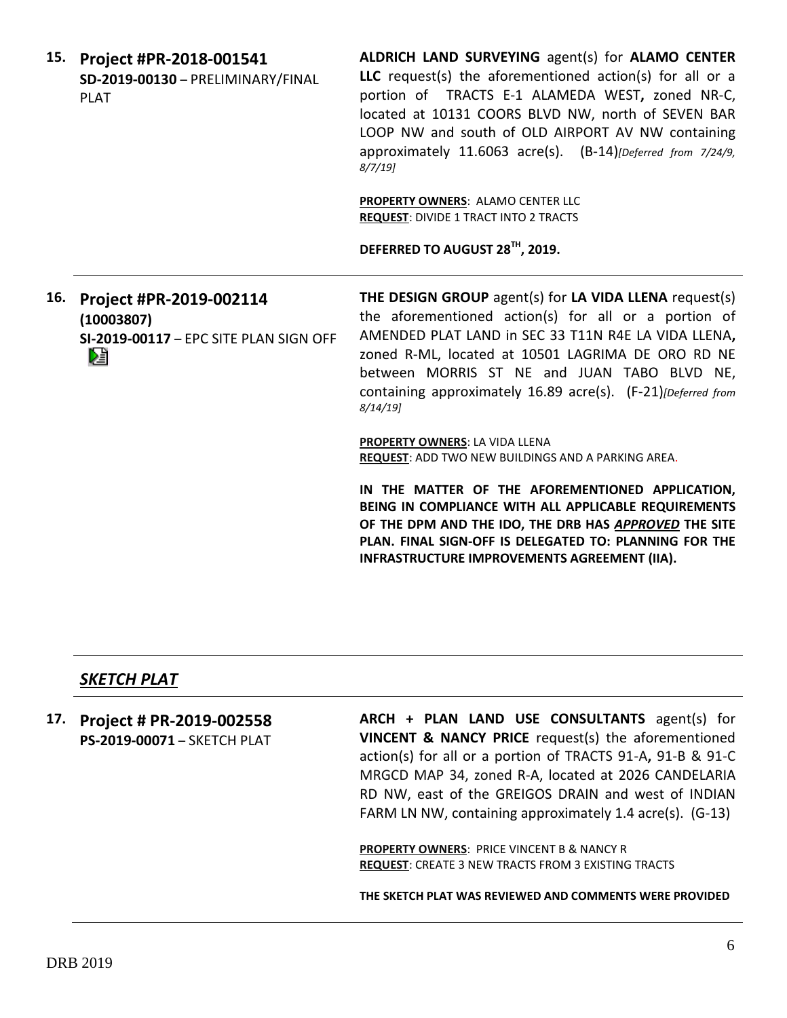| 15. | Project #PR-2018-001541<br>SD-2019-00130 - PRELIMINARY/FINAL<br><b>PLAT</b>          | <b>ALDRICH LAND SURVEYING agent(s) for ALAMO CENTER</b><br>LLC request(s) the aforementioned action(s) for all or a<br>portion of TRACTS E-1 ALAMEDA WEST, zoned NR-C,<br>located at 10131 COORS BLVD NW, north of SEVEN BAR<br>LOOP NW and south of OLD AIRPORT AV NW containing<br>approximately 11.6063 acre(s). (B-14) [Deferred from 7/24/9,<br>$8/7/19$ ] |
|-----|--------------------------------------------------------------------------------------|-----------------------------------------------------------------------------------------------------------------------------------------------------------------------------------------------------------------------------------------------------------------------------------------------------------------------------------------------------------------|
|     |                                                                                      | <b>PROPERTY OWNERS: ALAMO CENTER LLC</b><br><b>REQUEST: DIVIDE 1 TRACT INTO 2 TRACTS</b>                                                                                                                                                                                                                                                                        |
|     |                                                                                      | DEFERRED TO AUGUST 28TH, 2019.                                                                                                                                                                                                                                                                                                                                  |
| 16. | Project #PR-2019-002114<br>(10003807)<br>SI-2019-00117 - EPC SITE PLAN SIGN OFF<br>N | THE DESIGN GROUP agent(s) for LA VIDA LLENA request(s)<br>the aforementioned action(s) for all or a portion of<br>AMENDED PLAT LAND in SEC 33 T11N R4E LA VIDA LLENA,<br>zoned R-ML, located at 10501 LAGRIMA DE ORO RD NE<br>between MORRIS ST NE and JUAN TABO BLVD NE,<br>containing approximately 16.89 acre(s). (F-21) [Deferred from<br>$8/14/19$ ]       |
|     |                                                                                      | <b>PROPERTY OWNERS: LA VIDA LLENA</b><br>REQUEST: ADD TWO NEW BUILDINGS AND A PARKING AREA.                                                                                                                                                                                                                                                                     |
|     |                                                                                      | IN THE MATTER OF THE AFOREMENTIONED APPLICATION,<br>BEING IN COMPLIANCE WITH ALL APPLICABLE REQUIREMENTS<br>OF THE DPM AND THE IDO, THE DRB HAS APPROVED THE SITE<br>PLAN. FINAL SIGN-OFF IS DELEGATED TO: PLANNING FOR THE<br>INFRASTRUCTURE IMPROVEMENTS AGREEMENT (IIA).                                                                                     |

## *SKETCH PLAT*

|  | 17. Project # PR-2019-002558 | ARCH + PLAN LAND USE CONSULTANTS agent(s) for              |
|--|------------------------------|------------------------------------------------------------|
|  | PS-2019-00071 - SKETCH PLAT  | VINCENT & NANCY PRICE request(s) the aforementioned        |
|  |                              | action(s) for all or a portion of TRACTS 91-A, 91-B & 91-C |
|  |                              | MRGCD MAP 34, zoned R-A, located at 2026 CANDELARIA        |
|  |                              | RD NW, east of the GREIGOS DRAIN and west of INDIAN        |
|  |                              | FARM LN NW, containing approximately 1.4 acre(s). (G-13)   |
|  |                              |                                                            |
|  |                              | <b>PROPERTY OWNERS: PRICE VINCENT B &amp; NANCY R</b>      |
|  |                              | <b>REQUEST: CREATE 3 NEW TRACTS FROM 3 EXISTING TRACTS</b> |

**THE SKETCH PLAT WAS REVIEWED AND COMMENTS WERE PROVIDED**